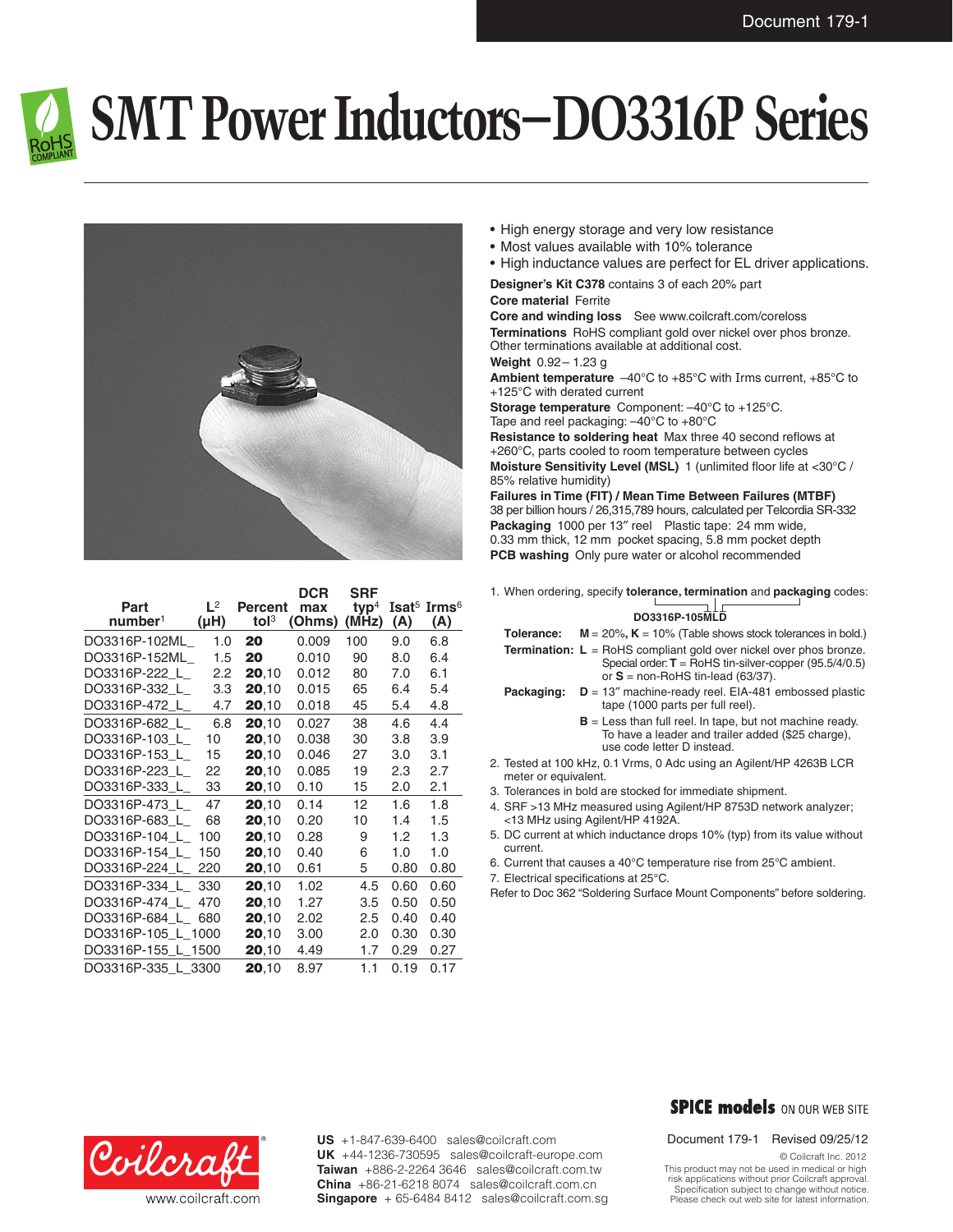

# **SMT Power Inductors–DO3316P Series**



| Part<br>number <sup>1</sup> | $L^2$<br>$(\mu H)$ | <b>Percent</b><br>tol <sup>3</sup> | <b>DCR</b><br>max<br>(Ohms) | <b>SRF</b><br>$typ4$<br>(MHz) | (A)  | Isat <sup>5</sup> Irms <sup>6</sup><br>(A) |
|-----------------------------|--------------------|------------------------------------|-----------------------------|-------------------------------|------|--------------------------------------------|
| DO3316P-102ML               | 1.0                | 20                                 | 0.009                       | 100                           | 9.0  | 6.8                                        |
| DO3316P-152ML               | 1.5                | 20                                 | 0.010                       | 90                            | 8.0  | 6.4                                        |
| DO3316P-222 L               | 2.2                | 20,10                              | 0.012                       | 80                            | 7.0  | 6.1                                        |
| DO3316P-332 L               | 3.3                | 20,10                              | 0.015                       | 65                            | 6.4  | 5.4                                        |
| DO3316P-472_L_              | 4.7                | 20,10                              | 0.018                       | 45                            | 5.4  | 4.8                                        |
| DO3316P-682 L               | 6.8                | 20.10                              | 0.027                       | 38                            | 4.6  | 4.4                                        |
| DO3316P-103_L_              | 10                 | 20,10                              | 0.038                       | 30                            | 3.8  | 3.9                                        |
| DO3316P-153 L               | 15                 | 20,10                              | 0.046                       | 27                            | 3.0  | 3.1                                        |
| DO3316P-223 L               | 22                 | 20,10                              | 0.085                       | 19                            | 2.3  | 2.7                                        |
| DO3316P-333_L_              | 33                 | 20,10                              | 0.10                        | 15                            | 2.0  | 2.1                                        |
| DO3316P-473 L               | 47                 | 20.10                              | 0.14                        | 12                            | 1.6  | 1.8                                        |
| DO3316P-683 L               | 68                 | 20,10                              | 0.20                        | 10                            | 1.4  | 1.5                                        |
| DO3316P-104 L               | 100                | 20,10                              | 0.28                        | 9                             | 1.2  | 1.3                                        |
| DO3316P-154 L               | 150                | 20,10                              | 0.40                        | 6                             | 1.0  | 1.0                                        |
| DO3316P-224 L               | 220                | 20,10                              | 0.61                        | 5                             | 0.80 | 0.80                                       |
| DO3316P-334 L               | 330                | 20,10                              | 1.02                        | 4.5                           | 0.60 | 0.60                                       |
| DO3316P-474 L               | 470                | 20,10                              | 1.27                        | 3.5                           | 0.50 | 0.50                                       |
| DO3316P-684 L               | 680                | 20,10                              | 2.02                        | 2.5                           | 0.40 | 0.40                                       |
| DO3316P-105 L 1000          |                    | 20,10                              | 3.00                        | 2.0                           | 0.30 | 0.30                                       |
| DO3316P-155_L_1500          |                    | <b>20,10</b>                       | 4.49                        | 1.7                           | 0.29 | 0.27                                       |
| DO3316P-335 L 3300          |                    | 20,10                              | 8.97                        | 1.1                           | 0.19 | 0.17                                       |

- High energy storage and very low resistance
- • Most values available with 10% tolerance
- High inductance values are perfect for EL driver applications.

### **Designer's Kit C378** contains 3 of each 20% part **Core material** Ferrite

**Core and winding loss** See www.coilcraft.com/coreloss **Terminations** RoHS compliant gold over nickel over phos bronze. Other terminations available at additional cost. **Weight** 0.92– 1.23 g

**Ambient temperature** –40°C to +85°C with Irms current, +85°C to +125°C with derated current

**Storage temperature** Component: –40°C to +125°C. Tape and reel packaging:  $-40^{\circ}$ C to  $+80^{\circ}$ C

**Resistance to soldering heat** Max three 40 second reflows at +260°C, parts cooled to room temperature between cycles **Moisture Sensitivity Level (MSL)** 1 (unlimited floor life at <30°C / 85% relative humidity)

**Failures in Time (FIT) / Mean Time Between Failures (MTBF)** 38 per billion hours / 26,315,789 hours, calculated per Telcordia SR-332 **Packaging** 1000 per 13″ reel Plastic tape: 24 mm wide, 0.33 mm thick, 12 mm pocket spacing, 5.8 mm pocket depth **PCB washing** Only pure water or alcohol recommended

1. When ordering, specify **tolerance, termination** and **packaging** codes:

## **DO3316P-105MLD**

- **Tolerance:**  $M = 20\%, K = 10\%$  (Table shows stock tolerances in bold.)
- **Termination: L** = RoHS compliant gold over nickel over phos bronze. Special order: **T** = RoHS tin-silver-copper (95.5/4/0.5) or **S** = non-RoHS tin-lead (63/37).
- **Packaging: D** = 13″ machine-ready reel. EIA-481 embossed plastic tape (1000 parts per full reel).
	- **B** = Less than full reel. In tape, but not machine ready. To have a leader and trailer added (\$25 charge), use code letter D instead.
- 2. Tested at 100 kHz, 0.1 Vrms, 0 Adc using an Agilent/HP 4263B LCR meter or equivalent.
- 3. Tolerances in bold are stocked for immediate shipment.
- 4. SRF >13 MHz measured using Agilent/HP 8753D network analyzer; <13 MHz using Agilent/HP 4192A.
- 5. DC current at which inductance drops 10% (typ) from its value without current.
- 6. Current that causes a 40°C temperature rise from 25°C ambient.
- 7. Electrical specifications at 25°C.
- Refer to Doc 362 "Soldering Surface Mount Components" before soldering.



**US** +1-847-639-6400 sales@coilcraft.com **UK** +44-1236-730595 sales@coilcraft-europe.com **Taiwan** +886-2-2264 3646 sales@coilcraft.com.tw **China** +86-21-6218 8074 sales@coilcraft.com.cn **Singapore** + 65-6484 8412 sales@coilcraft.com.sg

## **SPICE models** ON OUR WEB SITE

### Document 179-1 Revised 09/25/12

© Coilcraft Inc. 2012

This product may not be used in medical or high risk applications without prior Coilcraft approval. Specification subject to change without notice. Please check out web site for latest information.